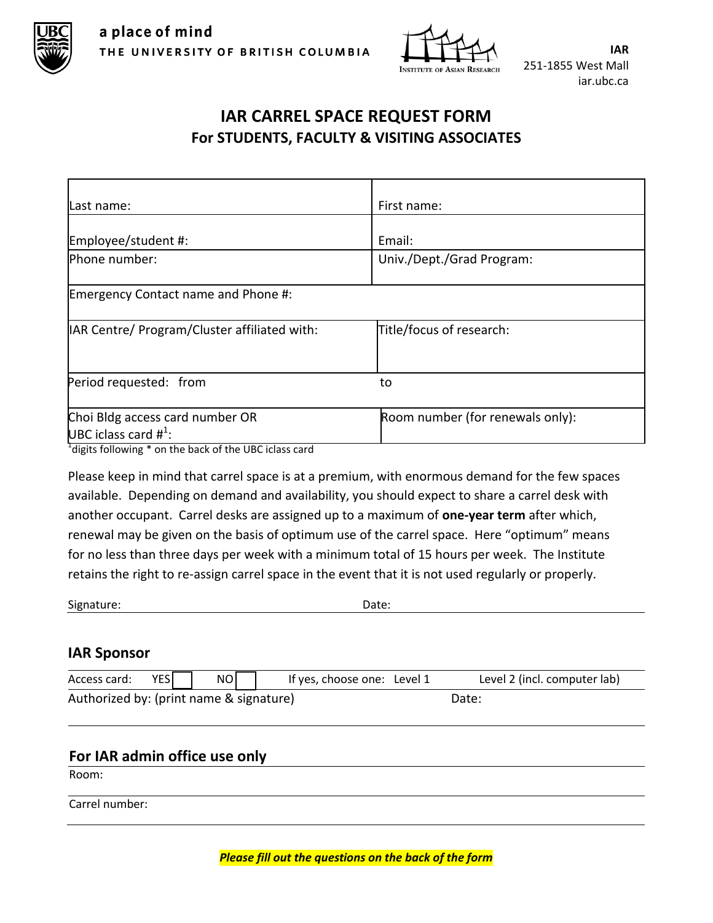



**IAR** 251-1855 West Mall iar.ubc.ca

## **IAR CARREL SPACE REQUEST FORM For STUDENTS, FACULTY & VISITING ASSOCIATES**

| lLast name:                                                                                                                                                        | First name:                      |  |
|--------------------------------------------------------------------------------------------------------------------------------------------------------------------|----------------------------------|--|
| Employee/student #:                                                                                                                                                | Email:                           |  |
| Phone number:                                                                                                                                                      | Univ./Dept./Grad Program:        |  |
| Emergency Contact name and Phone #:                                                                                                                                |                                  |  |
| IAR Centre/ Program/Cluster affiliated with:                                                                                                                       | Title/focus of research:         |  |
| Period requested: from                                                                                                                                             | to                               |  |
| Choi Bldg access card number OR<br>UBC iclass card $\#^1$ :<br>$\mathbf{a}$ and $\mathbf{b}$ and $\mathbf{c}$ and $\mathbf{c}$ and $\mathbf{c}$<br>$1 + 1 + 2 = 1$ | Room number (for renewals only): |  |

<sup>1</sup>digits following \* on the back of the UBC iclass card

Please keep in mind that carrel space is at a premium, with enormous demand for the few spaces available. Depending on demand and availability, you should expect to share a carrel desk with another occupant. Carrel desks are assigned up to a maximum of **one-year term** after which, renewal may be given on the basis of optimum use of the carrel space. Here "optimum" means for no less than three days per week with a minimum total of 15 hours per week. The Institute retains the right to re-assign carrel space in the event that it is not used regularly or properly.

Signature: Date:

## **IAR Sponsor**

| Access card:                            | <b>YESI</b> | NO    |  | If yes, choose one: Level 1 | Level 2 (incl. computer lab) |
|-----------------------------------------|-------------|-------|--|-----------------------------|------------------------------|
| Authorized by: (print name & signature) |             | Date: |  |                             |                              |

## **For IAR admin office use only**

Room:

Carrel number: